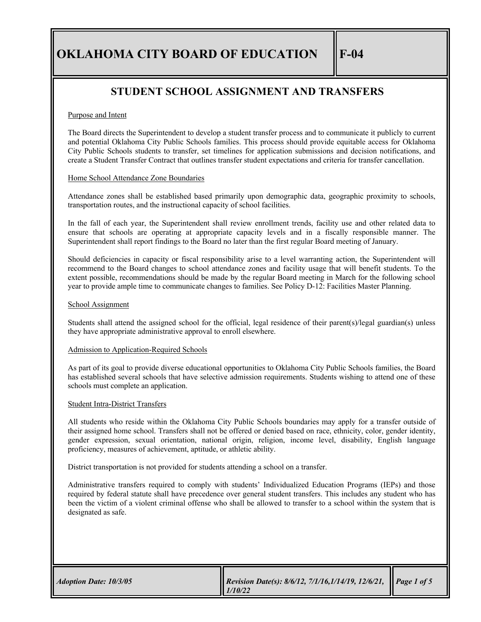# **STUDENT SCHOOL ASSIGNMENT AND TRANSFERS**

## Purpose and Intent

The Board directs the Superintendent to develop a student transfer process and to communicate it publicly to current and potential Oklahoma City Public Schools families. This process should provide equitable access for Oklahoma City Public Schools students to transfer, set timelines for application submissions and decision notifications, and create a Student Transfer Contract that outlines transfer student expectations and criteria for transfer cancellation.

#### Home School Attendance Zone Boundaries

Attendance zones shall be established based primarily upon demographic data, geographic proximity to schools, transportation routes, and the instructional capacity of school facilities.

In the fall of each year, the Superintendent shall review enrollment trends, facility use and other related data to ensure that schools are operating at appropriate capacity levels and in a fiscally responsible manner. The Superintendent shall report findings to the Board no later than the first regular Board meeting of January.

Should deficiencies in capacity or fiscal responsibility arise to a level warranting action, the Superintendent will recommend to the Board changes to school attendance zones and facility usage that will benefit students. To the extent possible, recommendations should be made by the regular Board meeting in March for the following school year to provide ample time to communicate changes to families. See Policy D-12: Facilities Master Planning.

#### School Assignment

Students shall attend the assigned school for the official, legal residence of their parent(s)/legal guardian(s) unless they have appropriate administrative approval to enroll elsewhere.

## Admission to Application-Required Schools

As part of its goal to provide diverse educational opportunities to Oklahoma City Public Schools families, the Board has established several schools that have selective admission requirements. Students wishing to attend one of these schools must complete an application.

#### Student Intra-District Transfers

All students who reside within the Oklahoma City Public Schools boundaries may apply for a transfer outside of their assigned home school. Transfers shall not be offered or denied based on race, ethnicity, color, gender identity, gender expression, sexual orientation, national origin, religion, income level, disability, English language proficiency, measures of achievement, aptitude, or athletic ability.

District transportation is not provided for students attending a school on a transfer.

Administrative transfers required to comply with students' Individualized Education Programs (IEPs) and those required by federal statute shall have precedence over general student transfers. This includes any student who has been the victim of a violent criminal offense who shall be allowed to transfer to a school within the system that is designated as safe.

| <b>Adoption Date: 10/3/05</b><br>1/10/22 | Revision Date(s): 8/6/12, 7/1/16,1/14/19, 12/6/21, Page 1 of 5 |  |
|------------------------------------------|----------------------------------------------------------------|--|
|------------------------------------------|----------------------------------------------------------------|--|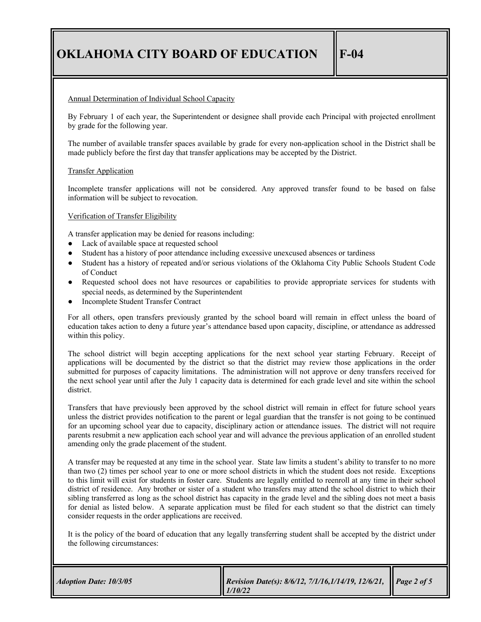### Annual Determination of Individual School Capacity

By February 1 of each year, the Superintendent or designee shall provide each Principal with projected enrollment by grade for the following year.

The number of available transfer spaces available by grade for every non-application school in the District shall be made publicly before the first day that transfer applications may be accepted by the District.

### Transfer Application

Incomplete transfer applications will not be considered. Any approved transfer found to be based on false information will be subject to revocation.

## Verification of Transfer Eligibility

A transfer application may be denied for reasons including:

- Lack of available space at requested school
- Student has a history of poor attendance including excessive unexcused absences or tardiness
- Student has a history of repeated and/or serious violations of the Oklahoma City Public Schools Student Code of Conduct
- Requested school does not have resources or capabilities to provide appropriate services for students with special needs, as determined by the Superintendent
- Incomplete Student Transfer Contract

For all others, open transfers previously granted by the school board will remain in effect unless the board of education takes action to deny a future year's attendance based upon capacity, discipline, or attendance as addressed within this policy.

The school district will begin accepting applications for the next school year starting February. Receipt of applications will be documented by the district so that the district may review those applications in the order submitted for purposes of capacity limitations. The administration will not approve or deny transfers received for the next school year until after the July 1 capacity data is determined for each grade level and site within the school district.

Transfers that have previously been approved by the school district will remain in effect for future school years unless the district provides notification to the parent or legal guardian that the transfer is not going to be continued for an upcoming school year due to capacity, disciplinary action or attendance issues. The district will not require parents resubmit a new application each school year and will advance the previous application of an enrolled student amending only the grade placement of the student.

A transfer may be requested at any time in the school year. State law limits a student's ability to transfer to no more than two (2) times per school year to one or more school districts in which the student does not reside. Exceptions to this limit will exist for students in foster care. Students are legally entitled to reenroll at any time in their school district of residence. Any brother or sister of a student who transfers may attend the school district to which their sibling transferred as long as the school district has capacity in the grade level and the sibling does not meet a basis for denial as listed below. A separate application must be filed for each student so that the district can timely consider requests in the order applications are received.

It is the policy of the board of education that any legally transferring student shall be accepted by the district under the following circumstances:

| <b>Adoption Date: 10/3/05</b> | Revision Date(s): 8/6/12, 7/1/16,1/14/19, 12/6/21,   Page 2 of 5<br>1/10/22 |  |
|-------------------------------|-----------------------------------------------------------------------------|--|
|-------------------------------|-----------------------------------------------------------------------------|--|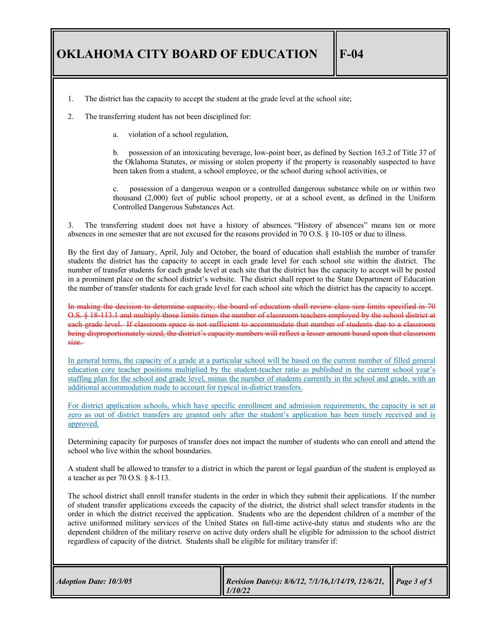- 1. The district has the capacity to accept the student at the grade level at the school site;
- 2. The transferring student has not been disciplined for:
	- a. violation of a school regulation,

b. possession of an intoxicating beverage, low-point beer, as defined by Section 163.2 of Title 37 of the Oklahoma Statutes, or missing or stolen property if the property is reasonably suspected to have been taken from a student, a school employee, or the school during school activities, or

c. possession of a dangerous weapon or a controlled dangerous substance while on or within two thousand (2,000) feet of public school property, or at a school event, as defined in the Uniform Controlled Dangerous Substances Act.

3. The transferring student does not have a history of absences. "History of absences" means ten or more absences in one semester that are not excused for the reasons provided in 70 O.S. § 10-105 or due to illness.

By the first day of January, April, July and October, the board of education shall establish the number of transfer students the district has the capacity to accept in each grade level for each school site within the district. The number of transfer students for each grade level at each site that the district has the capacity to accept will be posted in a prominent place on the school district's website. The district shall report to the State Department of Education the number of transfer students for each grade level for each school site which the district has the capacity to accept.

In making the decision to determine capacity, the board of education shall review class size limits specified in 70 O.S. § 18-113.1 and multiply those limits times the number of classroom teachers employed by the school district at each grade level. If classroom space is not sufficient to accommodate that number of students due to a classroom being disproportionately sized, the district's capacity numbers will reflect a lesser amount based upon that classroom  $size.$ 

In general terms, the capacity of a grade at a particular school will be based on the current number of filled general education core teacher positions multiplied by the student-teacher ratio as published in the current school year's staffing plan for the school and grade level, minus the number of students currently in the school and grade, with an additional accommodation made to account for typical in-district transfers.

For district application schools, which have specific enrollment and admission requirements, the capacity is set at zero as out of district transfers are granted only after the student's application has been timely received and is approved.

Determining capacity for purposes of transfer does not impact the number of students who can enroll and attend the school who live within the school boundaries.

A student shall be allowed to transfer to a district in which the parent or legal guardian of the student is employed as a teacher as per 70 O.S. § 8-113.

The school district shall enroll transfer students in the order in which they submit their applications. If the number of student transfer applications exceeds the capacity of the district, the district shall select transfer students in the order in which the district received the application. Students who are the dependent children of a member of the active uniformed military services of the United States on full-time active-duty status and students who are the dependent children of the military reserve on active duty orders shall be eligible for admission to the school district regardless of capacity of the district. Students shall be eligible for military transfer if:

| <b>Adoption Date: 10/3/05</b> | Revision Date(s): 8/6/12, 7/1/16,1/14/19, 12/6/21, Page 3 of 5<br>$\parallel$ 1/10/22 |  |
|-------------------------------|---------------------------------------------------------------------------------------|--|
|-------------------------------|---------------------------------------------------------------------------------------|--|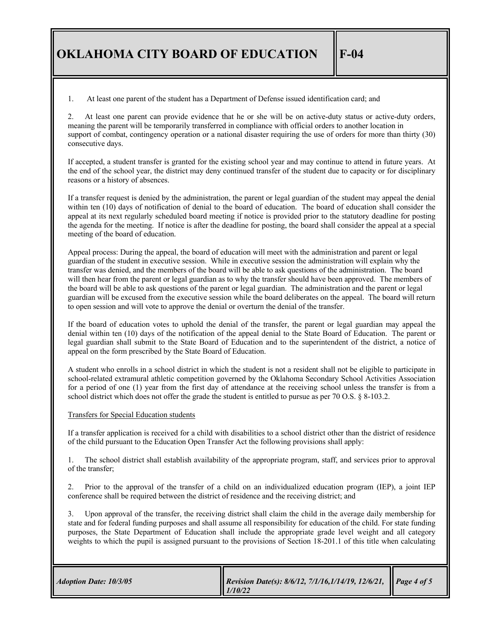1. At least one parent of the student has a Department of Defense issued identification card; and

2. At least one parent can provide evidence that he or she will be on active-duty status or active-duty orders, meaning the parent will be temporarily transferred in compliance with official orders to another location in support of combat, contingency operation or a national disaster requiring the use of orders for more than thirty (30) consecutive days.

If accepted, a student transfer is granted for the existing school year and may continue to attend in future years. At the end of the school year, the district may deny continued transfer of the student due to capacity or for disciplinary reasons or a history of absences.

If a transfer request is denied by the administration, the parent or legal guardian of the student may appeal the denial within ten (10) days of notification of denial to the board of education. The board of education shall consider the appeal at its next regularly scheduled board meeting if notice is provided prior to the statutory deadline for posting the agenda for the meeting. If notice is after the deadline for posting, the board shall consider the appeal at a special meeting of the board of education.

Appeal process: During the appeal, the board of education will meet with the administration and parent or legal guardian of the student in executive session. While in executive session the administration will explain why the transfer was denied, and the members of the board will be able to ask questions of the administration. The board will then hear from the parent or legal guardian as to why the transfer should have been approved. The members of the board will be able to ask questions of the parent or legal guardian. The administration and the parent or legal guardian will be excused from the executive session while the board deliberates on the appeal. The board will return to open session and will vote to approve the denial or overturn the denial of the transfer.

If the board of education votes to uphold the denial of the transfer, the parent or legal guardian may appeal the denial within ten (10) days of the notification of the appeal denial to the State Board of Education. The parent or legal guardian shall submit to the State Board of Education and to the superintendent of the district, a notice of appeal on the form prescribed by the State Board of Education.

A student who enrolls in a school district in which the student is not a resident shall not be eligible to participate in school-related extramural athletic competition governed by the Oklahoma Secondary School Activities Association for a period of one (1) year from the first day of attendance at the receiving school unless the transfer is from a school district which does not offer the grade the student is entitled to pursue as per 70 O.S. § 8-103.2.

#### Transfers for Special Education students

If a transfer application is received for a child with disabilities to a school district other than the district of residence of the child pursuant to the Education Open Transfer Act the following provisions shall apply:

1. The school district shall establish availability of the appropriate program, staff, and services prior to approval of the transfer;

2. Prior to the approval of the transfer of a child on an individualized education program (IEP), a joint IEP conference shall be required between the district of residence and the receiving district; and

3. Upon approval of the transfer, the receiving district shall claim the child in the average daily membership for state and for federal funding purposes and shall assume all responsibility for education of the child. For state funding purposes, the State Department of Education shall include the appropriate grade level weight and all category weights to which the pupil is assigned pursuant to the provisions of Section 18-201.1 of this title when calculating

| <i><b>Adoption Date: 10/3/05</b></i><br>1/10/22 | Revision Date(s): 8/6/12, 7/1/16,1/14/19, 12/6/21, Page 4 of 5 |  |
|-------------------------------------------------|----------------------------------------------------------------|--|
|-------------------------------------------------|----------------------------------------------------------------|--|